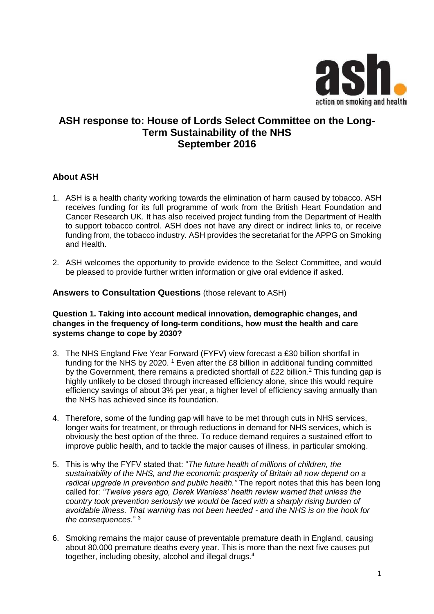

# **ASH response to: House of Lords Select Committee on the Long-Term Sustainability of the NHS September 2016**

## **About ASH**

- 1. ASH is a health charity working towards the elimination of harm caused by tobacco. ASH receives funding for its full programme of work from the British Heart Foundation and Cancer Research UK. It has also received project funding from the Department of Health to support tobacco control. ASH does not have any direct or indirect links to, or receive funding from, the tobacco industry. ASH provides the secretariat for the APPG on Smoking and Health.
- 2. ASH welcomes the opportunity to provide evidence to the Select Committee, and would be pleased to provide further written information or give oral evidence if asked.

#### **Answers to Consultation Questions** (those relevant to ASH)

#### **Question 1. Taking into account medical innovation, demographic changes, and changes in the frequency of long-term conditions, how must the health and care systems change to cope by 2030?**

- 3. The NHS England Five Year Forward (FYFV) view forecast a £30 billion shortfall in funding for the NHS by 2020.  $1$  Even after the £8 billion in additional funding committed by the Government, there remains a predicted shortfall of £22 billion.<sup>2</sup> This funding gap is highly unlikely to be closed through increased efficiency alone, since this would require efficiency savings of about 3% per year, a higher level of efficiency saving annually than the NHS has achieved since its foundation.
- 4. Therefore, some of the funding gap will have to be met through cuts in NHS services, longer waits for treatment, or through reductions in demand for NHS services, which is obviously the best option of the three. To reduce demand requires a sustained effort to improve public health, and to tackle the major causes of illness, in particular smoking.
- 5. This is why the FYFV stated that: "*The future health of millions of children, the sustainability of the NHS, and the economic prosperity of Britain all now depend on a radical upgrade in prevention and public health."* The report notes that this has been long called for: *"Twelve years ago, Derek Wanless' health review warned that unless the country took prevention seriously we would be faced with a sharply rising burden of avoidable illness. That warning has not been heeded - and the NHS is on the hook for the consequences.*" <sup>3</sup>
- 6. Smoking remains the major cause of preventable premature death in England, causing about 80,000 premature deaths every year. This is more than the next five causes put together, including obesity, alcohol and illegal drugs.4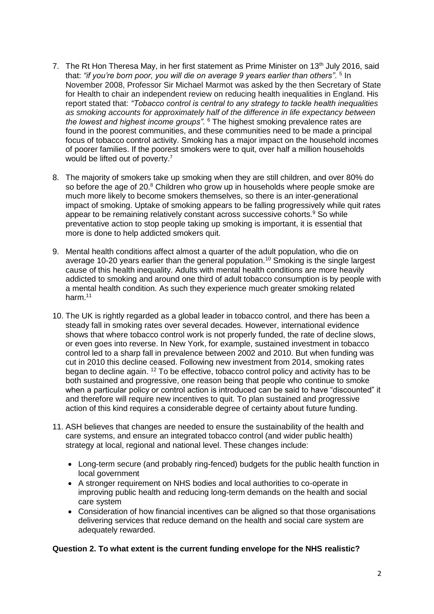- 7. The Rt Hon Theresa May, in her first statement as Prime Minister on  $13<sup>th</sup>$  July 2016, said that: "if you're born poor, you will die on average 9 years earlier than others". <sup>5</sup> In November 2008, Professor Sir Michael Marmot was asked by the then Secretary of State for Health to chair an independent review on reducing health inequalities in England. His report stated that: *"Tobacco control is central to any strategy to tackle health inequalities as smoking accounts for approximately half of the difference in life expectancy between the lowest and highest income groups"*. <sup>6</sup> The highest smoking prevalence rates are found in the poorest communities, and these communities need to be made a principal focus of tobacco control activity. Smoking has a major impact on the household incomes of poorer families. If the poorest smokers were to quit, over half a million households would be lifted out of poverty.<sup>7</sup>
- 8. The majority of smokers take up smoking when they are still children, and over 80% do so before the age of  $20.8$  Children who grow up in households where people smoke are much more likely to become smokers themselves, so there is an inter-generational impact of smoking. Uptake of smoking appears to be falling progressively while quit rates appear to be remaining relatively constant across successive cohorts.<sup>9</sup> So while preventative action to stop people taking up smoking is important, it is essential that more is done to help addicted smokers quit.
- 9. Mental health conditions affect almost a quarter of the adult population, who die on average 10-20 years earlier than the general population.<sup>10</sup> Smoking is the single largest cause of this health inequality. Adults with mental health conditions are more heavily addicted to smoking and around one third of adult tobacco consumption is by people with a mental health condition. As such they experience much greater smoking related harm<sup>11</sup>
- 10. The UK is rightly regarded as a global leader in tobacco control, and there has been a steady fall in smoking rates over several decades. However, international evidence shows that where tobacco control work is not properly funded, the rate of decline slows, or even goes into reverse. In New York, for example, sustained investment in tobacco control led to a sharp fall in prevalence between 2002 and 2010. But when funding was cut in 2010 this decline ceased. Following new investment from 2014, smoking rates began to decline again. <sup>12</sup> To be effective, tobacco control policy and activity has to be both sustained and progressive, one reason being that people who continue to smoke when a particular policy or control action is introduced can be said to have "discounted" it and therefore will require new incentives to quit. To plan sustained and progressive action of this kind requires a considerable degree of certainty about future funding.
- 11. ASH believes that changes are needed to ensure the sustainability of the health and care systems, and ensure an integrated tobacco control (and wider public health) strategy at local, regional and national level. These changes include:
	- Long-term secure (and probably ring-fenced) budgets for the public health function in local government
	- A stronger requirement on NHS bodies and local authorities to co-operate in improving public health and reducing long-term demands on the health and social care system
	- Consideration of how financial incentives can be aligned so that those organisations delivering services that reduce demand on the health and social care system are adequately rewarded.

## **Question 2. To what extent is the current funding envelope for the NHS realistic?**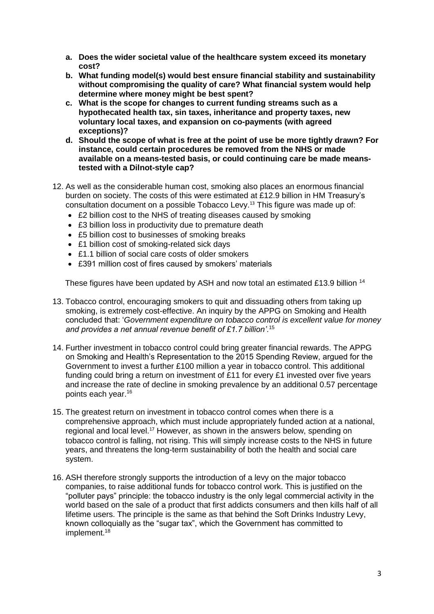- **a. Does the wider societal value of the healthcare system exceed its monetary cost?**
- **b. What funding model(s) would best ensure financial stability and sustainability without compromising the quality of care? What financial system would help determine where money might be best spent?**
- **c. What is the scope for changes to current funding streams such as a hypothecated health tax, sin taxes, inheritance and property taxes, new voluntary local taxes, and expansion on co-payments (with agreed exceptions)?**
- **d. Should the scope of what is free at the point of use be more tightly drawn? For instance, could certain procedures be removed from the NHS or made available on a means-tested basis, or could continuing care be made meanstested with a Dilnot-style cap?**
- 12. As well as the considerable human cost, smoking also places an enormous financial burden on society. The costs of this were estimated at £12.9 billion in HM Treasury's consultation document on a possible Tobacco Levy. <sup>13</sup> This figure was made up of:
	- £2 billion cost to the NHS of treating diseases caused by smoking
	- £3 billion loss in productivity due to premature death
	- £5 billion cost to businesses of smoking breaks
	- £1 billion cost of smoking-related sick days
	- £1.1 billion of social care costs of older smokers
	- £391 million cost of fires caused by smokers' materials

These figures have been updated by ASH and now total an estimated £13.9 billion <sup>14</sup>

- 13. Tobacco control, encouraging smokers to quit and dissuading others from taking up smoking, is extremely cost-effective. An inquiry by the APPG on Smoking and Health concluded that: '*Government expenditure on tobacco control is excellent value for money and provides a net annual revenue benefit of £1.7 billion'*. 15
- 14. Further investment in tobacco control could bring greater financial rewards. The APPG on Smoking and Health's Representation to the 2015 Spending Review, argued for the Government to invest a further £100 million a year in tobacco control. This additional funding could bring a return on investment of £11 for every £1 invested over five years and increase the rate of decline in smoking prevalence by an additional 0.57 percentage points each year.<sup>16</sup>
- 15. The greatest return on investment in tobacco control comes when there is a comprehensive approach, which must include appropriately funded action at a national, regional and local level.<sup>17</sup> However, as shown in the answers below, spending on tobacco control is falling, not rising. This will simply increase costs to the NHS in future years, and threatens the long-term sustainability of both the health and social care system.
- 16. ASH therefore strongly supports the introduction of a levy on the major tobacco companies, to raise additional funds for tobacco control work. This is justified on the "polluter pays" principle: the tobacco industry is the only legal commercial activity in the world based on the sale of a product that first addicts consumers and then kills half of all lifetime users. The principle is the same as that behind the Soft Drinks Industry Levy, known colloquially as the "sugar tax", which the Government has committed to implement.<sup>18</sup>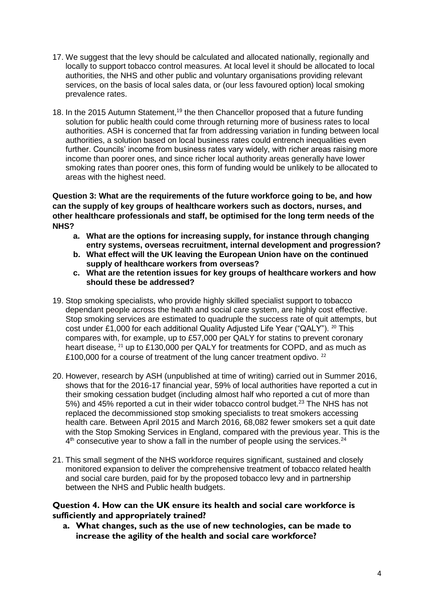- 17. We suggest that the levy should be calculated and allocated nationally, regionally and locally to support tobacco control measures. At local level it should be allocated to local authorities, the NHS and other public and voluntary organisations providing relevant services, on the basis of local sales data, or (our less favoured option) local smoking prevalence rates.
- 18. In the 2015 Autumn Statement,<sup>19</sup> the then Chancellor proposed that a future funding solution for public health could come through returning more of business rates to local authorities. ASH is concerned that far from addressing variation in funding between local authorities, a solution based on local business rates could entrench inequalities even further. Councils' income from business rates vary widely, with richer areas raising more income than poorer ones, and since richer local authority areas generally have lower smoking rates than poorer ones, this form of funding would be unlikely to be allocated to areas with the highest need.

**Question 3: What are the requirements of the future workforce going to be, and how can the supply of key groups of healthcare workers such as doctors, nurses, and other healthcare professionals and staff, be optimised for the long term needs of the NHS?**

- **a. What are the options for increasing supply, for instance through changing entry systems, overseas recruitment, internal development and progression?**
- **b. What effect will the UK leaving the European Union have on the continued supply of healthcare workers from overseas?**
- **c. What are the retention issues for key groups of healthcare workers and how should these be addressed?**
- 19. Stop smoking specialists, who provide highly skilled specialist support to tobacco dependant people across the health and social care system, are highly cost effective. Stop smoking services are estimated to quadruple the success rate of quit attempts, but cost under £1,000 for each additional Quality Adjusted Life Year ("QALY"). <sup>20</sup> This compares with, for example, up to £57,000 per QALY for statins to prevent coronary heart disease, <sup>21</sup> up to £130,000 per QALY for treatments for COPD, and as much as £100,000 for a course of treatment of the lung cancer treatment opdivo.<sup>22</sup>
- 20. However, research by ASH (unpublished at time of writing) carried out in Summer 2016, shows that for the 2016-17 financial year, 59% of local authorities have reported a cut in their smoking cessation budget (including almost half who reported a cut of more than 5%) and 45% reported a cut in their wider tobacco control budget.<sup>23</sup> The NHS has not replaced the decommissioned stop smoking specialists to treat smokers accessing health care. Between April 2015 and March 2016, 68,082 fewer smokers set a quit date with the Stop Smoking Services in England, compared with the previous year. This is the  $4<sup>th</sup>$  consecutive year to show a fall in the number of people using the services.<sup>24</sup>
- 21. This small segment of the NHS workforce requires significant, sustained and closely monitored expansion to deliver the comprehensive treatment of tobacco related health and social care burden, paid for by the proposed tobacco levy and in partnership between the NHS and Public health budgets.

### **Question 4. How can the UK ensure its health and social care workforce is sufficiently and appropriately trained?**

**a. What changes, such as the use of new technologies, can be made to increase the agility of the health and social care workforce?**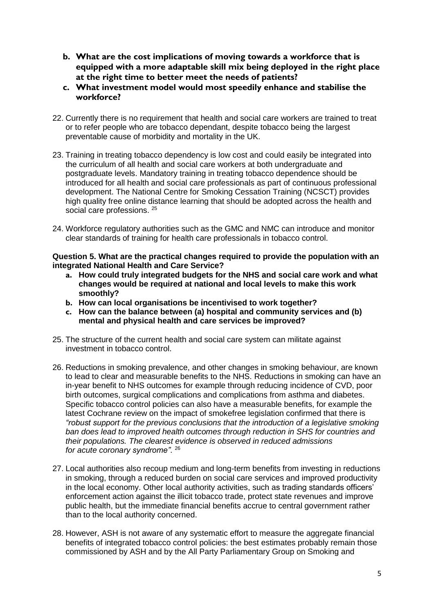- **b. What are the cost implications of moving towards a workforce that is equipped with a more adaptable skill mix being deployed in the right place at the right time to better meet the needs of patients?**
- **c. What investment model would most speedily enhance and stabilise the workforce?**
- 22. Currently there is no requirement that health and social care workers are trained to treat or to refer people who are tobacco dependant, despite tobacco being the largest preventable cause of morbidity and mortality in the UK.
- 23. Training in treating tobacco dependency is low cost and could easily be integrated into the curriculum of all health and social care workers at both undergraduate and postgraduate levels. Mandatory training in treating tobacco dependence should be introduced for all health and social care professionals as part of continuous professional development. The National Centre for Smoking Cessation Training (NCSCT) provides high quality free online distance learning that should be adopted across the health and social care professions. <sup>25</sup>
- 24. Workforce regulatory authorities such as the GMC and NMC can introduce and monitor clear standards of training for health care professionals in tobacco control.

**Question 5. What are the practical changes required to provide the population with an integrated National Health and Care Service?**

- **a. How could truly integrated budgets for the NHS and social care work and what changes would be required at national and local levels to make this work smoothly?**
- **b. How can local organisations be incentivised to work together?**
- **c. How can the balance between (a) hospital and community services and (b) mental and physical health and care services be improved?**
- 25. The structure of the current health and social care system can militate against investment in tobacco control.
- 26. Reductions in smoking prevalence, and other changes in smoking behaviour, are known to lead to clear and measurable benefits to the NHS. Reductions in smoking can have an in-year benefit to NHS outcomes for example through reducing incidence of CVD, poor birth outcomes, surgical complications and complications from asthma and diabetes. Specific tobacco control policies can also have a measurable benefits, for example the latest Cochrane review on the impact of smokefree legislation confirmed that there is *"robust support for the previous conclusions that the introduction of a legislative smoking ban does lead to improved health outcomes through reduction in SHS for countries and their populations. The clearest evidence is observed in reduced admissions for acute coronary syndrome"*. 26
- 27. Local authorities also recoup medium and long-term benefits from investing in reductions in smoking, through a reduced burden on social care services and improved productivity in the local economy. Other local authority activities, such as trading standards officers' enforcement action against the illicit tobacco trade, protect state revenues and improve public health, but the immediate financial benefits accrue to central government rather than to the local authority concerned.
- 28. However, ASH is not aware of any systematic effort to measure the aggregate financial benefits of integrated tobacco control policies: the best estimates probably remain those commissioned by ASH and by the All Party Parliamentary Group on Smoking and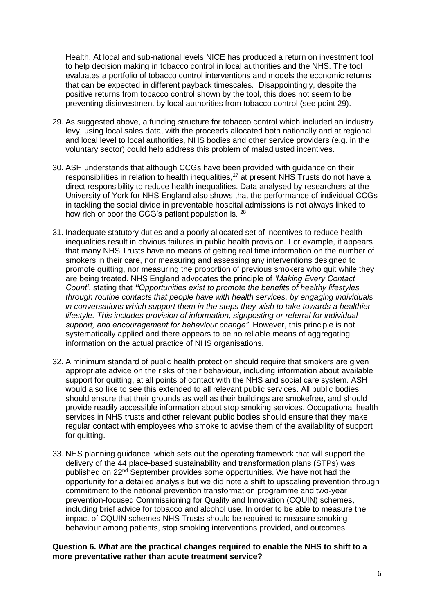Health. At local and sub-national levels NICE has produced a return on investment tool to help decision making in tobacco control in local authorities and the NHS. The tool evaluates a portfolio of tobacco control interventions and models the economic returns that can be expected in different payback timescales. Disappointingly, despite the positive returns from tobacco control shown by the tool, this does not seem to be preventing disinvestment by local authorities from tobacco control (see point 29).

- 29. As suggested above, a funding structure for tobacco control which included an industry levy, using local sales data, with the proceeds allocated both nationally and at regional and local level to local authorities, NHS bodies and other service providers (e.g. in the voluntary sector) could help address this problem of maladjusted incentives.
- 30. ASH understands that although CCGs have been provided with guidance on their responsibilities in relation to health inequalities, $^{27}$  at present NHS Trusts do not have a direct responsibility to reduce health inequalities. Data analysed by researchers at the University of York for NHS England also shows that the performance of individual CCGs in tackling the social divide in preventable hospital admissions is not always linked to how rich or poor the CCG's patient population is. 28
- 31. Inadequate statutory duties and a poorly allocated set of incentives to reduce health inequalities result in obvious failures in public health provision. For example, it appears that many NHS Trusts have no means of getting real time information on the number of smokers in their care, nor measuring and assessing any interventions designed to promote quitting, nor measuring the proportion of previous smokers who quit while they are being treated. NHS England advocates the principle of *'Making Every Contact Count'*, stating that *"Opportunities exist to promote the benefits of healthy lifestyles through routine contacts that people have with health services, by engaging individuals in conversations which support them in the steps they wish to take towards a healthier lifestyle. This includes provision of information, signposting or referral for individual support, and encouragement for behaviour change".* However, this principle is not systematically applied and there appears to be no reliable means of aggregating information on the actual practice of NHS organisations.
- 32. A minimum standard of public health protection should require that smokers are given appropriate advice on the risks of their behaviour, including information about available support for quitting, at all points of contact with the NHS and social care system. ASH would also like to see this extended to all relevant public services. All public bodies should ensure that their grounds as well as their buildings are smokefree, and should provide readily accessible information about stop smoking services. Occupational health services in NHS trusts and other relevant public bodies should ensure that they make regular contact with employees who smoke to advise them of the availability of support for quitting.
- 33. NHS planning guidance, which sets out the operating framework that will support the delivery of the 44 place-based sustainability and transformation plans (STPs) was published on 22nd September provides some opportunities. We have not had the opportunity for a detailed analysis but we did note a shift to upscaling prevention through commitment to the national prevention transformation programme and two-year prevention-focused Commissioning for Quality and Innovation (CQUIN) schemes, including brief advice for tobacco and alcohol use. In order to be able to measure the impact of CQUIN schemes NHS Trusts should be required to measure smoking behaviour among patients, stop smoking interventions provided, and outcomes.

**Question 6. What are the practical changes required to enable the NHS to shift to a more preventative rather than acute treatment service?**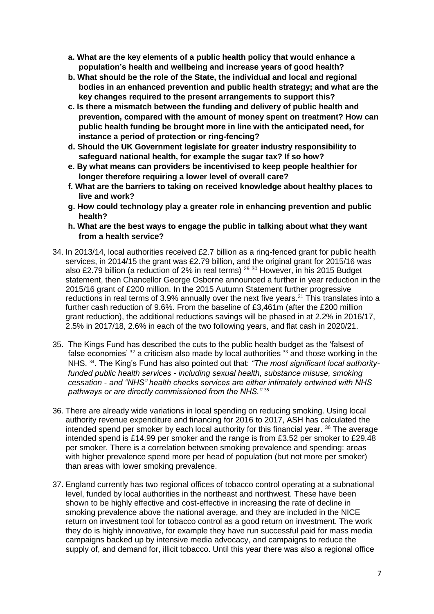- **a. What are the key elements of a public health policy that would enhance a population's health and wellbeing and increase years of good health?**
- **b. What should be the role of the State, the individual and local and regional bodies in an enhanced prevention and public health strategy; and what are the key changes required to the present arrangements to support this?**
- **c. Is there a mismatch between the funding and delivery of public health and prevention, compared with the amount of money spent on treatment? How can public health funding be brought more in line with the anticipated need, for instance a period of protection or ring-fencing?**
- **d. Should the UK Government legislate for greater industry responsibility to safeguard national health, for example the sugar tax? If so how?**
- **e. By what means can providers be incentivised to keep people healthier for longer therefore requiring a lower level of overall care?**
- **f. What are the barriers to taking on received knowledge about healthy places to live and work?**
- **g. How could technology play a greater role in enhancing prevention and public health?**
- **h. What are the best ways to engage the public in talking about what they want from a health service?**
- 34. In 2013/14, local authorities received £2.7 billion as a ring-fenced grant for public health services, in 2014/15 the grant was £2.79 billion, and the original grant for 2015/16 was also £2.79 billion (a reduction of 2% in real terms)  $29\,30$  However, in his 2015 Budget statement, then Chancellor George Osborne announced a further in year reduction in the 2015/16 grant of £200 million. In the 2015 Autumn Statement further progressive reductions in real terms of 3.9% annually over the next five years.<sup>31</sup> This translates into a further cash reduction of 9.6%. From the baseline of £3,461m (after the £200 million grant reduction), the additional reductions savings will be phased in at 2.2% in 2016/17, 2.5% in 2017/18, 2.6% in each of the two following years, and flat cash in 2020/21.
- 35. The Kings Fund has described the cuts to the public health budget as the 'falsest of false economies'  $32$  a criticism also made by local authorities  $33$  and those working in the NHS. 34. The King's Fund has also pointed out that: *"The most significant local authorityfunded public health services - including sexual health, substance misuse, smoking cessation - and "NHS" health checks services are either intimately entwined with NHS pathways or are directly commissioned from the NHS."* <sup>35</sup>
- 36. There are already wide variations in local spending on reducing smoking. Using local authority revenue expenditure and financing for 2016 to 2017, ASH has calculated the intended spend per smoker by each local authority for this financial year. <sup>36</sup> The average intended spend is £14.99 per smoker and the range is from £3.52 per smoker to £29.48 per smoker. There is a correlation between smoking prevalence and spending: areas with higher prevalence spend more per head of population (but not more per smoker) than areas with lower smoking prevalence.
- 37. England currently has two regional offices of tobacco control operating at a subnational level, funded by local authorities in the northeast and northwest. These have been shown to be highly effective and cost-effective in increasing the rate of decline in smoking prevalence above the national average, and they are included in the NICE return on investment tool for tobacco control as a good return on investment. The work they do is highly innovative, for example they have run successful paid for mass media campaigns backed up by intensive media advocacy, and campaigns to reduce the supply of, and demand for, illicit tobacco. Until this year there was also a regional office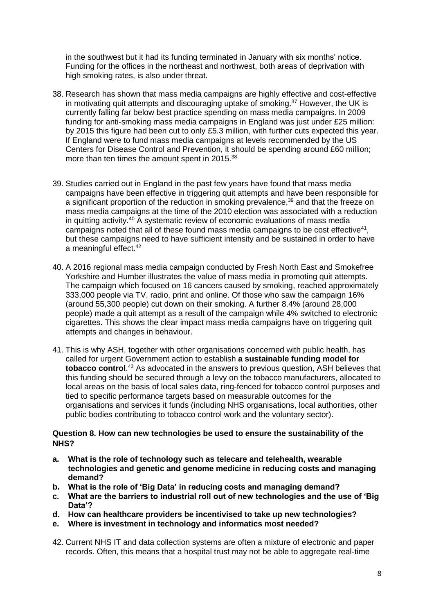in the southwest but it had its funding terminated in January with six months' notice. Funding for the offices in the northeast and northwest, both areas of deprivation with high smoking rates, is also under threat.

- 38. Research has shown that mass media campaigns are highly effective and cost-effective in motivating quit attempts and discouraging uptake of smoking. $37$  However, the UK is currently falling far below best practice spending on mass media campaigns. In 2009 funding for anti-smoking mass media campaigns in England was just under £25 million: by 2015 this figure had been cut to only £5.3 million, with further cuts expected this year. If England were to fund mass media campaigns at levels recommended by the US Centers for Disease Control and Prevention, it should be spending around £60 million; more than ten times the amount spent in 2015.<sup>38</sup>
- 39. Studies carried out in England in the past few years have found that mass media campaigns have been effective in triggering quit attempts and have been responsible for a significant proportion of the reduction in smoking prevalence,<sup>39</sup> and that the freeze on mass media campaigns at the time of the 2010 election was associated with a reduction in quitting activity.<sup>40</sup> A systematic review of economic evaluations of mass media campaigns noted that all of these found mass media campaigns to be cost effective $41$ , but these campaigns need to have sufficient intensity and be sustained in order to have a meaningful effect.<sup>42</sup>
- 40. A 2016 regional mass media campaign conducted by Fresh North East and Smokefree Yorkshire and Humber illustrates the value of mass media in promoting quit attempts. The campaign which focused on 16 cancers caused by smoking, reached approximately 333,000 people via TV, radio, print and online. Of those who saw the campaign 16% (around 55,300 people) cut down on their smoking. A further 8.4% (around 28,000 people) made a quit attempt as a result of the campaign while 4% switched to electronic cigarettes. This shows the clear impact mass media campaigns have on triggering quit attempts and changes in behaviour.
- 41. This is why ASH, together with other organisations concerned with public health, has called for urgent Government action to establish **a sustainable funding model for tobacco control**. <sup>43</sup> As advocated in the answers to previous question, ASH believes that this funding should be secured through a levy on the tobacco manufacturers, allocated to local areas on the basis of local sales data, ring-fenced for tobacco control purposes and tied to specific performance targets based on measurable outcomes for the organisations and services it funds (including NHS organisations, local authorities, other public bodies contributing to tobacco control work and the voluntary sector).

#### **Question 8. How can new technologies be used to ensure the sustainability of the NHS?**

- **a. What is the role of technology such as telecare and telehealth, wearable technologies and genetic and genome medicine in reducing costs and managing demand?**
- **b. What is the role of 'Big Data' in reducing costs and managing demand?**
- **c. What are the barriers to industrial roll out of new technologies and the use of 'Big Data'?**
- **d. How can healthcare providers be incentivised to take up new technologies?**
- **e. Where is investment in technology and informatics most needed?**
- 42. Current NHS IT and data collection systems are often a mixture of electronic and paper records. Often, this means that a hospital trust may not be able to aggregate real-time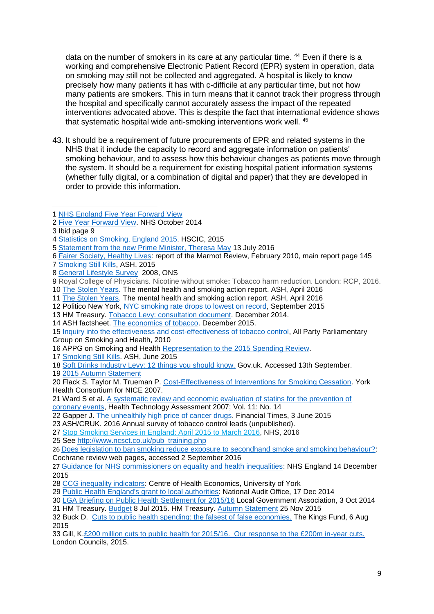data on the number of smokers in its care at any particular time. <sup>44</sup> Even if there is a working and comprehensive Electronic Patient Record (EPR) system in operation, data on smoking may still not be collected and aggregated. A hospital is likely to know precisely how many patients it has with c-difficile at any particular time, but not how many patients are smokers. This in turn means that it cannot track their progress through the hospital and specifically cannot accurately assess the impact of the repeated interventions advocated above. This is despite the fact that international evidence shows that systematic hospital wide anti-smoking interventions work well. <sup>45</sup>

43. It should be a requirement of future procurements of EPR and related systems in the NHS that it include the capacity to record and aggregate information on patients' smoking behaviour, and to assess how this behaviour changes as patients move through the system. It should be a requirement for existing hospital patient information systems (whether fully digital, or a combination of digital and paper) that they are developed in order to provide this information.

[Fairer Society, Healthy Lives:](http://www.instituteofhealthequity.org/) report of the Marmot Review, February 2010, main report page 145

[Smoking Still Kills,](http://www.ash.org.uk/files/documents/ASH_962.pdf) ASH, 2015

[Smoking Still Kills.](http://www.ash.org.uk/smokingstillkills) ASH, June 2015

[2015 Autumn Statement](https://www.gov.uk/government/topical-events/autumn-statement-and-spending-review-2015)

 Flack S. Taylor M. Trueman P. [Cost-Effectiveness of Interventions for Smoking Cessation.](https://www.nice.org.uk/guidance/ph10/evidence/costeffectiveness-of-interventions-for-smoking-cessation-mass-media-interventions-369842077) York Health Consortium for NICE 2007.

 Ward S et al. [A systematic review and economic evaluation of statins for the prevention of](http://www.journalslibrary.nihr.ac.uk/__data/assets/pdf_file/0003/65154/FullReport-hta11140.pdf)  [coronary events,](http://www.journalslibrary.nihr.ac.uk/__data/assets/pdf_file/0003/65154/FullReport-hta11140.pdf) Health Technology Assessment 2007; Vol. 11: No. 14

Gapper J. [The unhealthily high price of cancer drugs.](http://www.ft.com/cms/s/9033f5fc-09d6-11e5-b6bd-00144feabdc0,Authorised=false.html?siteedition=uk&_i_location=http%3A%2F%2Fwww.ft.com%2Fcms%2Fs%2F0%2F9033f5fc-09d6-11e5-b6bd-00144feabdc0.html%3Fsiteedition%3Duk&_i_referer=&classification=conditional_standard&iab=barrier-app#axzz3mYeYxSOo) Financial Times, 3 June 2015

ASH/CRUK. 2016 Annual survey of tobacco control leads (unpublished).

See [http://www.ncsct.co.uk/pub\\_training.php](http://www.ncsct.co.uk/pub_training.php)

[Public Health England's grant to local authorities:](https://www.nao.org.uk/wp-content/uploads/2014/12/Public-health-england%E2%80%99s-grant-to-local-authorities.pdf) National Audit Office, 17 Dec 2014

HM Treasury. [Budget](https://www.gov.uk/government/news/chancellor-announces-4-billion-of-measures-to-bring-down-debt) 8 Jul 2015. HM Treasury. [Autumn Statement](https://www.gov.uk/government/topical-events/autumn-statement-and-spending-review-2015) 25 Nov 2015

 [NHS England Five Year Forward View](https://www.england.nhs.uk/wp-content/uploads/2014/10/5yfv-web.pdf) 

[Five Year Forward View.](https://www.england.nhs.uk/wp-content/uploads/2014/10/5yfv-web.pdf) NHS October 2014

Ibid page 9

[Statistics on Smoking, England 2015.](http://www.hscic.gov.uk/catalogue/PUB17526/stat-smok-eng-2015-rep.pdf) HSCIC, 2015

[Statement from the new Prime Minister, Theresa May](https://www.gov.uk/government/speeches/statement-from-the-new-prime-minister-theresa-may) 13 July 2016

[General Lifestyle Survey](http://webarchive.nationalarchives.gov.uk/20160105160709/http:/www.ons.gov.uk/ons/rel/ghs/general-lifestyle-survey/2008-report/index.html) 2008, ONS

 Royal College of Physicians. Nicotine without smoke**:** Tobacco harm reduction. London: RCP, 2016. [The Stolen Years.](http://ash.org.uk/stolenyears) The mental health and smoking action report. ASH, April 2016

[The Stolen Years.](http://ash.org.uk/stolenyears) The mental health and smoking action report. ASH, April 2016

Politico New York, [NYC smoking rate drops to lowest on record,](http://www.capitalnewyork.com/article/city-hall/2015/09/8576947/nyc-smoking-rate-drops-lowest-record) September 2015

HM Treasury. [Tobacco Levy: consultation document.](https://www.gov.uk/government/uploads/system/uploads/attachment_data/file/384769/tobacco_levy_consultation.pdf) December 2014.

ASH factsheet. [The economics of tobacco.](http://www.ash.org.uk/files/documents/ASH_121.pdf) December 2015.

 [Inquiry into the effectiveness and cost-effectiveness of tobacco control,](http://www.ash.org.uk/APPGoct2010sum) All Party Parliamentary Group on Smoking and Health, 2010

APPG on Smoking and Health [Representation to the 2015 Spending Review.](http://www.ash.org.uk/spendingreview2015)

[Soft Drinks Industry Levy: 12 things you should know.](https://www.gov.uk/government/news/soft-drinks-industry-levy-12-things-you-should-know) Gov.uk. Accessed 13th September.

Stop Smoking Services in [England:](http://digital.nhs.uk/pubs/sssapr15mar16) April 2015 to March 2016, NHS, 2016

 [Does legislation to ban smoking reduce exposure to secondhand smoke and smoking behaviour?:](http://www.cochrane.org/CD005992/TOBACCO_does-legislation-ban-smoking-reduce-exposure-secondhand-smoke-and-smoking-behaviour) Cochrane review web pages, accessed 2 September 2016

 [Guidance for NHS commissioners on equality and health inequalities:](https://www.england.nhs.uk/wp-content/uploads/2015/12/hlth-inqual-guid-comms-dec15.pdf) NHS England 14 December 

[CCG inequality indicators:](http://www.ccg-inequalities.co.uk/) Centre of Health Economics, University of York

[LGA Briefing on Public Health Settlement for 2015/16](http://www.local.gov.uk/documents/10180/11607/Briefing+on+public+health+funding+settlement+September+2014/d751f317-8843-450c-9e4a-82c676b656fe) Local Government Association, 3 Oct 2014

 Buck D. Cuts [to public health spending: the falsest of false economies.](http://www.kingsfund.org.uk/blog/2015/08/cuts-public-health-spending-falsest-false-economies) The Kings Fund, 6 Aug 

 Gill, K[.£200 million cuts to public health for 2015/16. Our response to the £200m in-year cuts.](http://www.londoncouncils.gov.uk/our-key-themes/health-and-adult-services/public-health/public-health-funding-0/public-health-funding) London Councils, 2015.